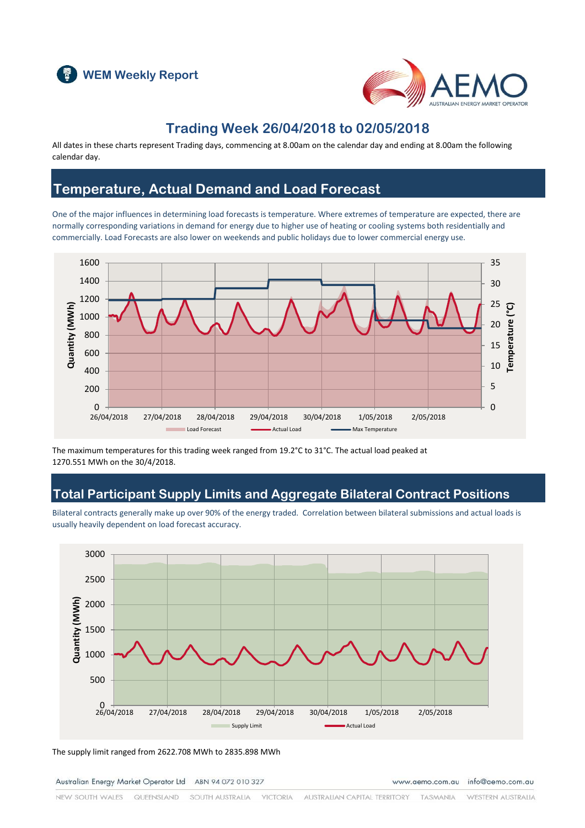



#### **Trading Week 26/04/2018 to 02/05/2018**

All dates in these charts represent Trading days, commencing at 8.00am on the calendar day and ending at 8.00am the following calendar day.

### **Temperature, Actual Demand and Load Forecast**

One of the major influences in determining load forecasts is temperature. Where extremes of temperature are expected, there are normally corresponding variations in demand for energy due to higher use of heating or cooling systems both residentially and commercially. Load Forecasts are also lower on weekends and public holidays due to lower commercial energy use.



The maximum temperatures for this trading week ranged from 19.2°C to 31°C. The actual load peaked at 1270.551 MWh on the 30/4/2018.

### **Total Participant Supply Limits and Aggregate Bilateral Contract Positions**

Bilateral contracts generally make up over 90% of the energy traded. Correlation between bilateral submissions and actual loads is usually heavily dependent on load forecast accuracy.



The supply limit ranged from 2622.708 MWh to 2835.898 MWh

Australian Energy Market Operator Ltd ABN 94 072 010 327

www.aemo.com.au info@aemo.com.au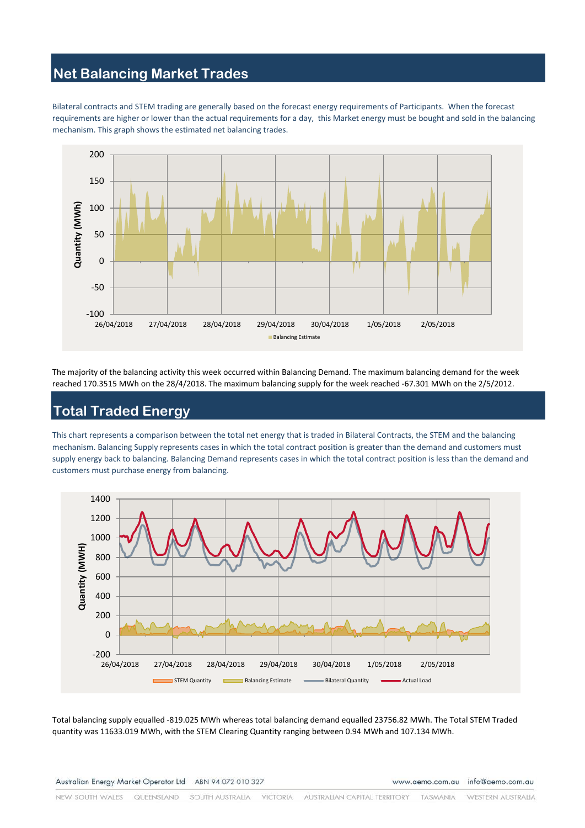# **Net Balancing Market Trades**

Bilateral contracts and STEM trading are generally based on the forecast energy requirements of Participants. When the forecast requirements are higher or lower than the actual requirements for a day, this Market energy must be bought and sold in the balancing mechanism. This graph shows the estimated net balancing trades.



The majority of the balancing activity this week occurred within Balancing Demand. The maximum balancing demand for the week reached 170.3515 MWh on the 28/4/2018. The maximum balancing supply for the week reached -67.301 MWh on the 2/5/2012.

# **Total Traded Energy**

This chart represents a comparison between the total net energy that is traded in Bilateral Contracts, the STEM and the balancing mechanism. Balancing Supply represents cases in which the total contract position is greater than the demand and customers must supply energy back to balancing. Balancing Demand represents cases in which the total contract position is less than the demand and customers must purchase energy from balancing.



Total balancing supply equalled -819.025 MWh whereas total balancing demand equalled 23756.82 MWh. The Total STEM Traded quantity was 11633.019 MWh, with the STEM Clearing Quantity ranging between 0.94 MWh and 107.134 MWh.

www.aemo.com.au info@aemo.com.au